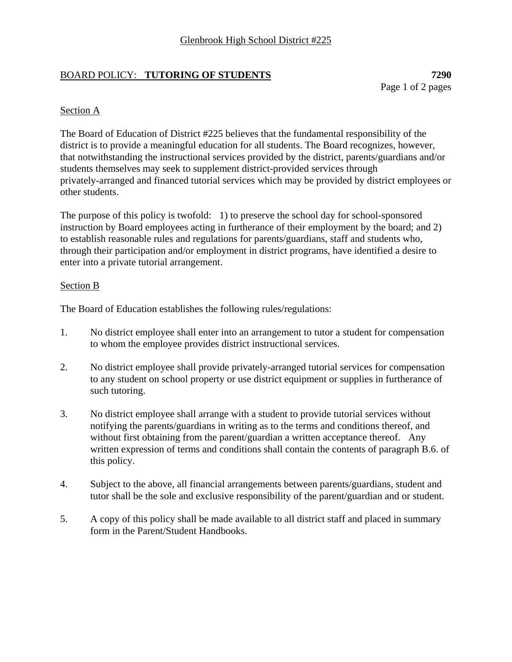## BOARD POLICY: **TUTORING OF STUDENTS 7290**

Page 1 of 2 pages

## Section A

The Board of Education of District #225 believes that the fundamental responsibility of the district is to provide a meaningful education for all students. The Board recognizes, however, that notwithstanding the instructional services provided by the district, parents/guardians and/or students themselves may seek to supplement district-provided services through privately-arranged and financed tutorial services which may be provided by district employees or other students.

The purpose of this policy is twofold: 1) to preserve the school day for school-sponsored instruction by Board employees acting in furtherance of their employment by the board; and 2) to establish reasonable rules and regulations for parents/guardians, staff and students who, through their participation and/or employment in district programs, have identified a desire to enter into a private tutorial arrangement.

## Section B

The Board of Education establishes the following rules/regulations:

- 1. No district employee shall enter into an arrangement to tutor a student for compensation to whom the employee provides district instructional services.
- 2. No district employee shall provide privately-arranged tutorial services for compensation to any student on school property or use district equipment or supplies in furtherance of such tutoring.
- 3. No district employee shall arrange with a student to provide tutorial services without notifying the parents/guardians in writing as to the terms and conditions thereof, and without first obtaining from the parent/guardian a written acceptance thereof. Any written expression of terms and conditions shall contain the contents of paragraph B.6. of this policy.
- 4. Subject to the above, all financial arrangements between parents/guardians, student and tutor shall be the sole and exclusive responsibility of the parent/guardian and or student.
- 5. A copy of this policy shall be made available to all district staff and placed in summary form in the Parent/Student Handbooks.